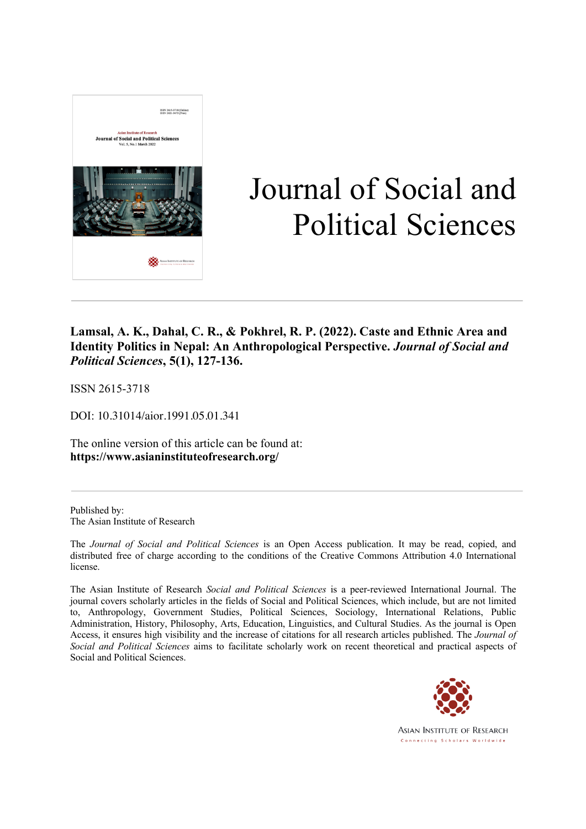

# Journal of Social and Political Sciences

### **Lamsal, A. K., Dahal, C. R., & Pokhrel, R. P. (2022). Caste and Ethnic Area and Identity Politics in Nepal: An Anthropological Perspective.** *Journal of Social and Political Sciences***, 5(1), 127-136.**

ISSN 2615-3718

DOI: 10.31014/aior.1991.05.01.341

The online version of this article can be found at: **https://www.asianinstituteofresearch.org/**

Published by: The Asian Institute of Research

The *Journal of Social and Political Sciences* is an Open Access publication. It may be read, copied, and distributed free of charge according to the conditions of the Creative Commons Attribution 4.0 International license.

The Asian Institute of Research *Social and Political Sciences* is a peer-reviewed International Journal. The journal covers scholarly articles in the fields of Social and Political Sciences, which include, but are not limited to, Anthropology, Government Studies, Political Sciences, Sociology, International Relations, Public Administration, History, Philosophy, Arts, Education, Linguistics, and Cultural Studies. As the journal is Open Access, it ensures high visibility and the increase of citations for all research articles published. The *Journal of Social and Political Sciences* aims to facilitate scholarly work on recent theoretical and practical aspects of Social and Political Sciences.



**ASIAN INSTITUTE OF RESEARCH** Connecting Scholars Worldwide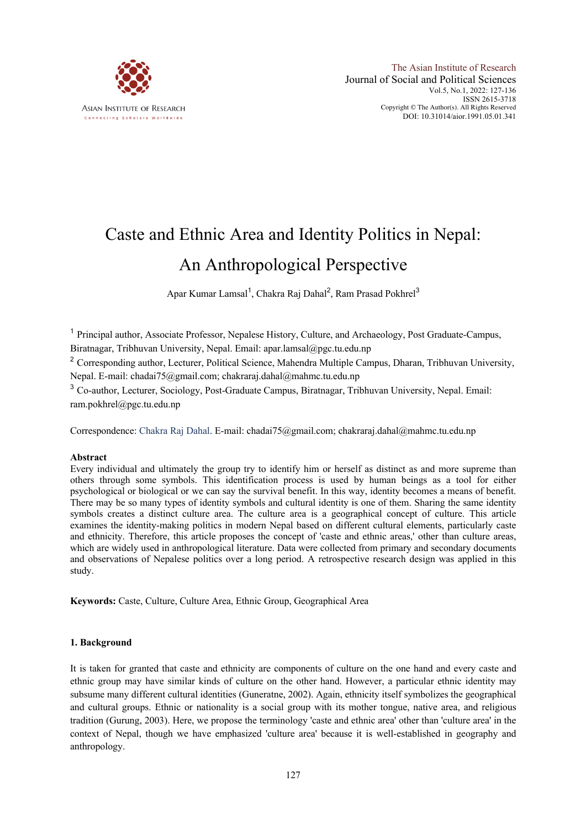

# Caste and Ethnic Area and Identity Politics in Nepal: An Anthropological Perspective

Apar Kumar Lamsal<sup>1</sup>, Chakra Raj Dahal<sup>2</sup>, Ram Prasad Pokhrel<sup>3</sup>

<sup>1</sup> Principal author, Associate Professor, Nepalese History, Culture, and Archaeology, Post Graduate-Campus, Biratnagar, Tribhuvan University, Nepal. Email: apar.lamsal@pgc.tu.edu.np

<sup>2</sup> Corresponding author, Lecturer, Political Science, Mahendra Multiple Campus, Dharan, Tribhuvan University, Nepal. E-mail: chadai75@gmail.com; chakraraj.dahal@mahmc.tu.edu.np

<sup>3</sup> Co-author, Lecturer, Sociology, Post-Graduate Campus, Biratnagar, Tribhuvan University, Nepal. Email: ram.pokhrel@pgc.tu.edu.np

Correspondence: Chakra Raj Dahal. E-mail: chadai75@gmail.com; chakraraj.dahal@mahmc.tu.edu.np

#### **Abstract**

Every individual and ultimately the group try to identify him or herself as distinct as and more supreme than others through some symbols. This identification process is used by human beings as a tool for either psychological or biological or we can say the survival benefit. In this way, identity becomes a means of benefit. There may be so many types of identity symbols and cultural identity is one of them. Sharing the same identity symbols creates a distinct culture area. The culture area is a geographical concept of culture. This article examines the identity-making politics in modern Nepal based on different cultural elements, particularly caste and ethnicity. Therefore, this article proposes the concept of 'caste and ethnic areas,' other than culture areas, which are widely used in anthropological literature. Data were collected from primary and secondary documents and observations of Nepalese politics over a long period. A retrospective research design was applied in this study.

**Keywords:** Caste, Culture, Culture Area, Ethnic Group, Geographical Area

#### **1. Background**

It is taken for granted that caste and ethnicity are components of culture on the one hand and every caste and ethnic group may have similar kinds of culture on the other hand. However, a particular ethnic identity may subsume many different cultural identities (Guneratne, 2002). Again, ethnicity itself symbolizes the geographical and cultural groups. Ethnic or nationality is a social group with its mother tongue, native area, and religious tradition (Gurung, 2003). Here, we propose the terminology 'caste and ethnic area' other than 'culture area' in the context of Nepal, though we have emphasized 'culture area' because it is well-established in geography and anthropology.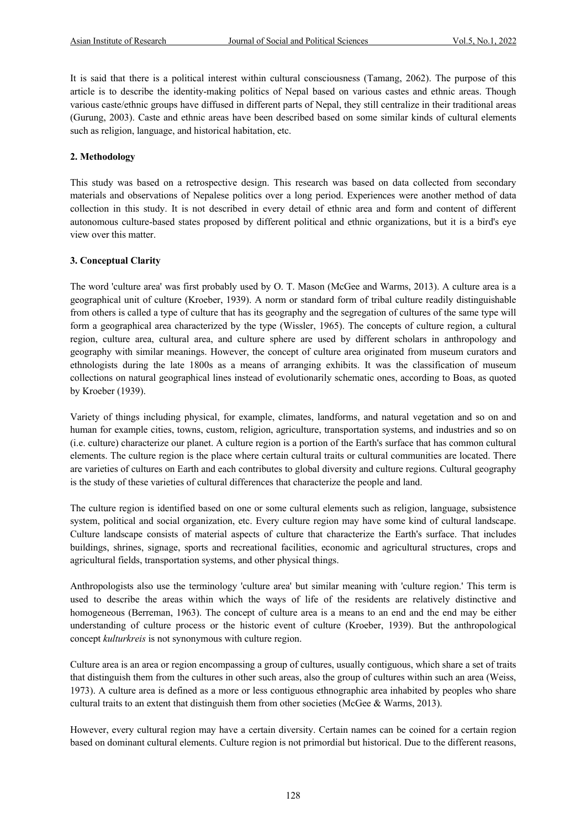It is said that there is a political interest within cultural consciousness (Tamang, 2062). The purpose of this article is to describe the identity-making politics of Nepal based on various castes and ethnic areas. Though various caste/ethnic groups have diffused in different parts of Nepal, they still centralize in their traditional areas (Gurung, 2003). Caste and ethnic areas have been described based on some similar kinds of cultural elements such as religion, language, and historical habitation, etc.

#### **2. Methodology**

This study was based on a retrospective design. This research was based on data collected from secondary materials and observations of Nepalese politics over a long period. Experiences were another method of data collection in this study. It is not described in every detail of ethnic area and form and content of different autonomous culture-based states proposed by different political and ethnic organizations, but it is a bird's eye view over this matter.

#### **3. Conceptual Clarity**

The word 'culture area' was first probably used by O. T. Mason (McGee and Warms, 2013). A culture area is a geographical unit of culture (Kroeber, 1939). A norm or standard form of tribal culture readily distinguishable from others is called a type of culture that has its geography and the segregation of cultures of the same type will form a geographical area characterized by the type (Wissler, 1965). The concepts of culture region, a cultural region, culture area, cultural area, and culture sphere are used by different scholars in anthropology and geography with similar meanings. However, the concept of culture area originated from museum curators and ethnologists during the late 1800s as a means of arranging exhibits. It was the classification of museum collections on natural geographical lines instead of evolutionarily schematic ones, according to Boas, as quoted by Kroeber (1939).

Variety of things including physical, for example, climates, landforms, and natural vegetation and so on and human for example cities, towns, custom, religion, agriculture, transportation systems, and industries and so on (i.e. culture) characterize our planet. A culture region is a portion of the Earth's surface that has common cultural elements. The culture region is the place where certain cultural traits or cultural communities are located. There are varieties of cultures on Earth and each contributes to global diversity and culture regions. Cultural geography is the study of these varieties of cultural differences that characterize the people and land.

The culture region is identified based on one or some cultural elements such as religion, language, subsistence system, political and social organization, etc. Every culture region may have some kind of cultural landscape. Culture landscape consists of material aspects of culture that characterize the Earth's surface. That includes buildings, shrines, signage, sports and recreational facilities, economic and agricultural structures, crops and agricultural fields, transportation systems, and other physical things.

Anthropologists also use the terminology 'culture area' but similar meaning with 'culture region.' This term is used to describe the areas within which the ways of life of the residents are relatively distinctive and homogeneous (Berreman, 1963). The concept of culture area is a means to an end and the end may be either understanding of culture process or the historic event of culture (Kroeber, 1939). But the anthropological concept *kulturkreis* is not synonymous with culture region.

Culture area is an area or region encompassing a group of cultures, usually contiguous, which share a set of traits that distinguish them from the cultures in other such areas, also the group of cultures within such an area (Weiss, 1973). A culture area is defined as a more or less contiguous ethnographic area inhabited by peoples who share cultural traits to an extent that distinguish them from other societies (McGee & Warms, 2013).

However, every cultural region may have a certain diversity. Certain names can be coined for a certain region based on dominant cultural elements. Culture region is not primordial but historical. Due to the different reasons,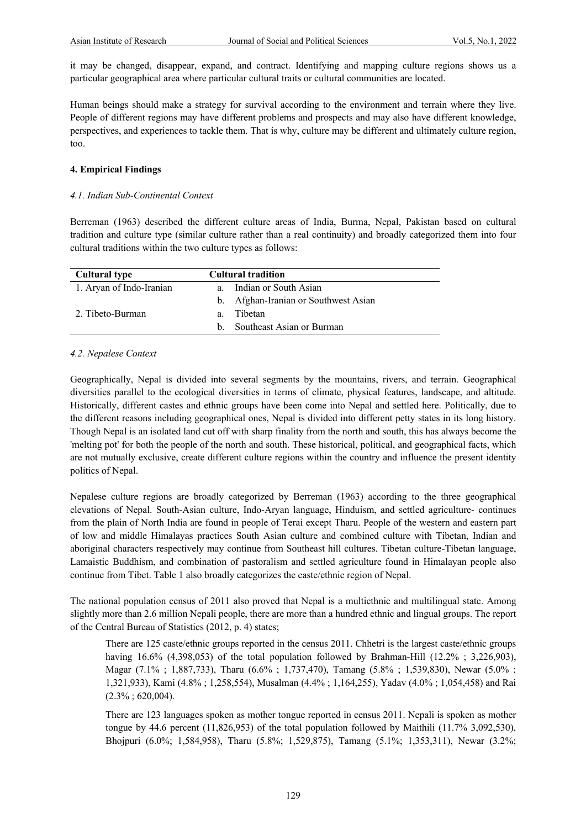it may be changed, disappear, expand, and contract. Identifying and mapping culture regions shows us a particular geographical area where particular cultural traits or cultural communities are located.

Human beings should make a strategy for survival according to the environment and terrain where they live. People of different regions may have different problems and prospects and may also have different knowledge, perspectives, and experiences to tackle them. That is why, culture may be different and ultimately culture region, too.

#### **4. Empirical Findings**

#### *4.1. Indian Sub-Continental Context*

Berreman (1963) described the different culture areas of India, Burma, Nepal, Pakistan based on cultural tradition and culture type (similar culture rather than a real continuity) and broadly categorized them into four cultural traditions within the two culture types as follows:

| <b>Cultural type</b>     |             | <b>Cultural tradition</b>            |  |
|--------------------------|-------------|--------------------------------------|--|
| 1. Aryan of Indo-Iranian | $a_{\cdot}$ | Indian or South Asian                |  |
|                          |             | b. Afghan-Iranian or Southwest Asian |  |
| 2. Tibeto-Burman         | $a_{\cdot}$ | Tibetan                              |  |
|                          |             | b. Southeast Asian or Burman         |  |

#### *4.2. Nepalese Context*

Geographically, Nepal is divided into several segments by the mountains, rivers, and terrain. Geographical diversities parallel to the ecological diversities in terms of climate, physical features, landscape, and altitude. Historically, different castes and ethnic groups have been come into Nepal and settled here. Politically, due to the different reasons including geographical ones, Nepal is divided into different petty states in its long history. Though Nepal is an isolated land cut off with sharp finality from the north and south, this has always become the 'melting pot' for both the people of the north and south. These historical, political, and geographical facts, which are not mutually exclusive, create different culture regions within the country and influence the present identity politics of Nepal.

Nepalese culture regions are broadly categorized by Berreman (1963) according to the three geographical elevations of Nepal. South-Asian culture, Indo-Aryan language, Hinduism, and settled agriculture- continues from the plain of North India are found in people of Terai except Tharu. People of the western and eastern part of low and middle Himalayas practices South Asian culture and combined culture with Tibetan, Indian and aboriginal characters respectively may continue from Southeast hill cultures. Tibetan culture-Tibetan language, Lamaistic Buddhism, and combination of pastoralism and settled agriculture found in Himalayan people also continue from Tibet. Table 1 also broadly categorizes the caste/ethnic region of Nepal.

The national population census of 2011 also proved that Nepal is a multiethnic and multilingual state. Among slightly more than 2.6 million Nepali people, there are more than a hundred ethnic and lingual groups. The report of the Central Bureau of Statistics (2012, p. 4) states;

There are 125 caste/ethnic groups reported in the census 2011. Chhetri is the largest caste/ethnic groups having 16.6% (4,398,053) of the total population followed by Brahman-Hill (12.2%; 3,226,903), Magar (7.1%; 1,887,733), Tharu (6.6%; 1,737,470), Tamang (5.8%; 1,539,830), Newar (5.0%; 1,321,933), Kami (4.8% ; 1,258,554), Musalman (4.4% ; 1,164,255), Yadav (4.0% ; 1,054,458) and Rai  $(2.3\% \div 620,004)$ .

There are 123 languages spoken as mother tongue reported in census 2011. Nepali is spoken as mother tongue by 44.6 percent  $(11,826,953)$  of the total population followed by Maithili  $(11.7\% 3,092,530)$ , Bhojpuri (6.0%; 1,584,958), Tharu (5.8%; 1,529,875), Tamang (5.1%; 1,353,311), Newar (3.2%;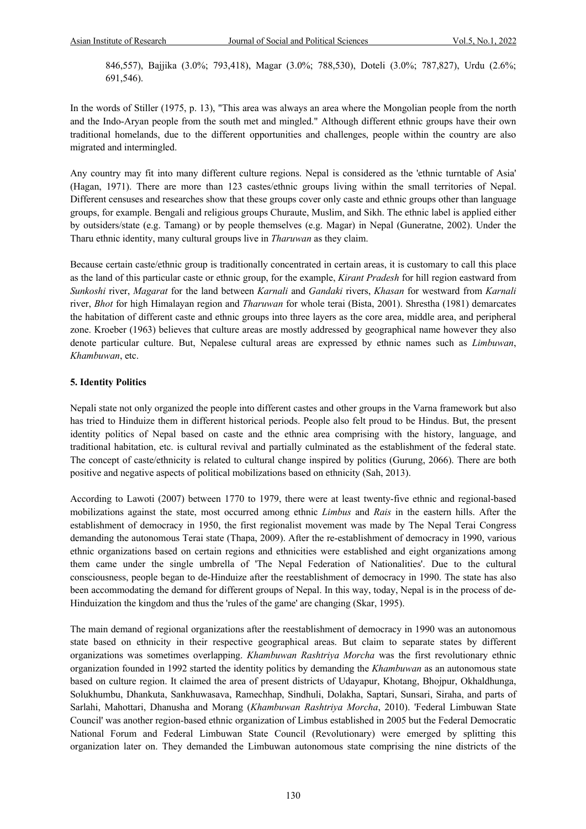846,557), Bajjika (3.0%; 793,418), Magar (3.0%; 788,530), Doteli (3.0%; 787,827), Urdu (2.6%; 691,546).

In the words of Stiller (1975, p. 13), "This area was always an area where the Mongolian people from the north and the Indo-Aryan people from the south met and mingled." Although different ethnic groups have their own traditional homelands, due to the different opportunities and challenges, people within the country are also migrated and intermingled.

Any country may fit into many different culture regions. Nepal is considered as the 'ethnic turntable of Asia' (Hagan, 1971). There are more than 123 castes/ethnic groups living within the small territories of Nepal. Different censuses and researches show that these groups cover only caste and ethnic groups other than language groups, for example. Bengali and religious groups Churaute, Muslim, and Sikh. The ethnic label is applied either by outsiders/state (e.g. Tamang) or by people themselves (e.g. Magar) in Nepal (Guneratne, 2002). Under the Tharu ethnic identity, many cultural groups live in *Tharuwan* as they claim.

Because certain caste/ethnic group is traditionally concentrated in certain areas, it is customary to call this place as the land of this particular caste or ethnic group, for the example, *Kirant Pradesh* for hill region eastward from *Sunkoshi* river, *Magarat* for the land between *Karnali* and *Gandaki* rivers, *Khasan* for westward from *Karnali*  river, *Bhot* for high Himalayan region and *Tharuwan* for whole terai (Bista, 2001). Shrestha (1981) demarcates the habitation of different caste and ethnic groups into three layers as the core area, middle area, and peripheral zone. Kroeber (1963) believes that culture areas are mostly addressed by geographical name however they also denote particular culture. But, Nepalese cultural areas are expressed by ethnic names such as *Limbuwan*, *Khambuwan*, etc.

#### **5. Identity Politics**

Nepali state not only organized the people into different castes and other groups in the Varna framework but also has tried to Hinduize them in different historical periods. People also felt proud to be Hindus. But, the present identity politics of Nepal based on caste and the ethnic area comprising with the history, language, and traditional habitation, etc. is cultural revival and partially culminated as the establishment of the federal state. The concept of caste/ethnicity is related to cultural change inspired by politics (Gurung, 2066). There are both positive and negative aspects of political mobilizations based on ethnicity (Sah, 2013).

According to Lawoti (2007) between 1770 to 1979, there were at least twenty-five ethnic and regional-based mobilizations against the state, most occurred among ethnic *Limbus* and *Rais* in the eastern hills. After the establishment of democracy in 1950, the first regionalist movement was made by The Nepal Terai Congress demanding the autonomous Terai state (Thapa, 2009). After the re-establishment of democracy in 1990, various ethnic organizations based on certain regions and ethnicities were established and eight organizations among them came under the single umbrella of 'The Nepal Federation of Nationalities'. Due to the cultural consciousness, people began to de-Hinduize after the reestablishment of democracy in 1990. The state has also been accommodating the demand for different groups of Nepal. In this way, today, Nepal is in the process of de-Hinduization the kingdom and thus the 'rules of the game' are changing (Skar, 1995).

The main demand of regional organizations after the reestablishment of democracy in 1990 was an autonomous state based on ethnicity in their respective geographical areas. But claim to separate states by different organizations was sometimes overlapping. *Khambuwan Rashtriya Morcha* was the first revolutionary ethnic organization founded in 1992 started the identity politics by demanding the *Khambuwan* as an autonomous state based on culture region. It claimed the area of present districts of Udayapur, Khotang, Bhojpur, Okhaldhunga, Solukhumbu, Dhankuta, Sankhuwasava, Ramechhap, Sindhuli, Dolakha, Saptari, Sunsari, Siraha, and parts of Sarlahi, Mahottari, Dhanusha and Morang (*Khambuwan Rashtriya Morcha*, 2010). 'Federal Limbuwan State Council' was another region-based ethnic organization of Limbus established in 2005 but the Federal Democratic National Forum and Federal Limbuwan State Council (Revolutionary) were emerged by splitting this organization later on. They demanded the Limbuwan autonomous state comprising the nine districts of the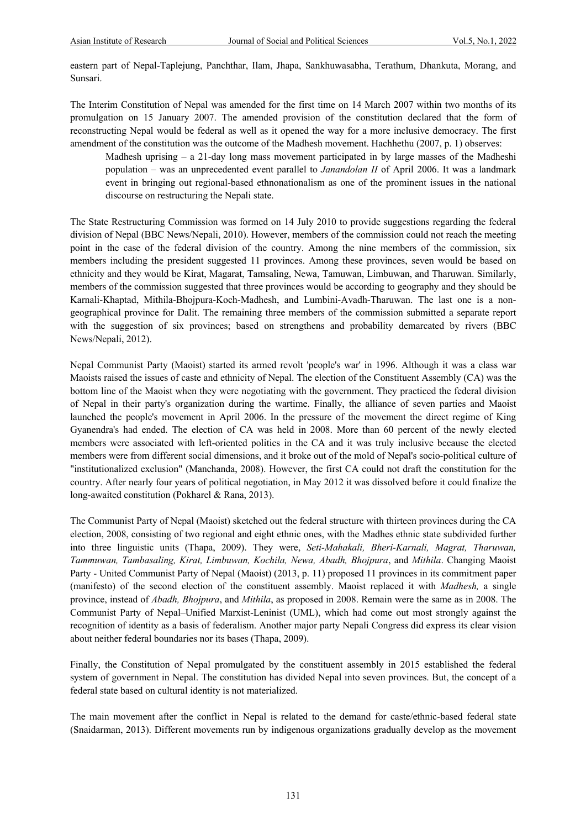eastern part of Nepal-Taplejung, Panchthar, Ilam, Jhapa, Sankhuwasabha, Terathum, Dhankuta, Morang, and Sunsari.

The Interim Constitution of Nepal was amended for the first time on 14 March 2007 within two months of its promulgation on 15 January 2007. The amended provision of the constitution declared that the form of reconstructing Nepal would be federal as well as it opened the way for a more inclusive democracy. The first amendment of the constitution was the outcome of the Madhesh movement. Hachhethu (2007, p. 1) observes:

Madhesh uprising – a 21-day long mass movement participated in by large masses of the Madheshi population – was an unprecedented event parallel to *Janandolan II* of April 2006. It was a landmark event in bringing out regional-based ethnonationalism as one of the prominent issues in the national discourse on restructuring the Nepali state.

The State Restructuring Commission was formed on 14 July 2010 to provide suggestions regarding the federal division of Nepal (BBC News/Nepali, 2010). However, members of the commission could not reach the meeting point in the case of the federal division of the country. Among the nine members of the commission, six members including the president suggested 11 provinces. Among these provinces, seven would be based on ethnicity and they would be Kirat, Magarat, Tamsaling, Newa, Tamuwan, Limbuwan, and Tharuwan. Similarly, members of the commission suggested that three provinces would be according to geography and they should be Karnali-Khaptad, Mithila-Bhojpura-Koch-Madhesh, and Lumbini-Avadh-Tharuwan. The last one is a nongeographical province for Dalit. The remaining three members of the commission submitted a separate report with the suggestion of six provinces; based on strengthens and probability demarcated by rivers (BBC News/Nepali, 2012).

Nepal Communist Party (Maoist) started its armed revolt 'people's war' in 1996. Although it was a class war Maoists raised the issues of caste and ethnicity of Nepal. The election of the Constituent Assembly (CA) was the bottom line of the Maoist when they were negotiating with the government. They practiced the federal division of Nepal in their party's organization during the wartime. Finally, the alliance of seven parties and Maoist launched the people's movement in April 2006. In the pressure of the movement the direct regime of King Gyanendra's had ended. The election of CA was held in 2008. More than 60 percent of the newly elected members were associated with left-oriented politics in the CA and it was truly inclusive because the elected members were from different social dimensions, and it broke out of the mold of Nepal's socio-political culture of "institutionalized exclusion" (Manchanda, 2008). However, the first CA could not draft the constitution for the country. After nearly four years of political negotiation, in May 2012 it was dissolved before it could finalize the long-awaited constitution (Pokharel & Rana, 2013).

The Communist Party of Nepal (Maoist) sketched out the federal structure with thirteen provinces during the CA election, 2008, consisting of two regional and eight ethnic ones, with the Madhes ethnic state subdivided further into three linguistic units (Thapa, 2009). They were, *Seti-Mahakali, Bheri-Karnali, Magrat, Tharuwan, Tammuwan, Tambasaling, Kirat, Limbuwan, Kochila, Newa, Abadh, Bhojpura*, and *Mithila*. Changing Maoist Party - United Communist Party of Nepal (Maoist) (2013, p. 11) proposed 11 provinces in its commitment paper (manifesto) of the second election of the constituent assembly. Maoist replaced it with *Madhesh,* a single province, instead of *Abadh, Bhojpura*, and *Mithila*, as proposed in 2008. Remain were the same as in 2008. The Communist Party of Nepal–Unified Marxist-Leninist (UML), which had come out most strongly against the recognition of identity as a basis of federalism. Another major party Nepali Congress did express its clear vision about neither federal boundaries nor its bases (Thapa, 2009).

Finally, the Constitution of Nepal promulgated by the constituent assembly in 2015 established the federal system of government in Nepal. The constitution has divided Nepal into seven provinces. But, the concept of a federal state based on cultural identity is not materialized.

The main movement after the conflict in Nepal is related to the demand for caste/ethnic-based federal state (Snaidarman, 2013). Different movements run by indigenous organizations gradually develop as the movement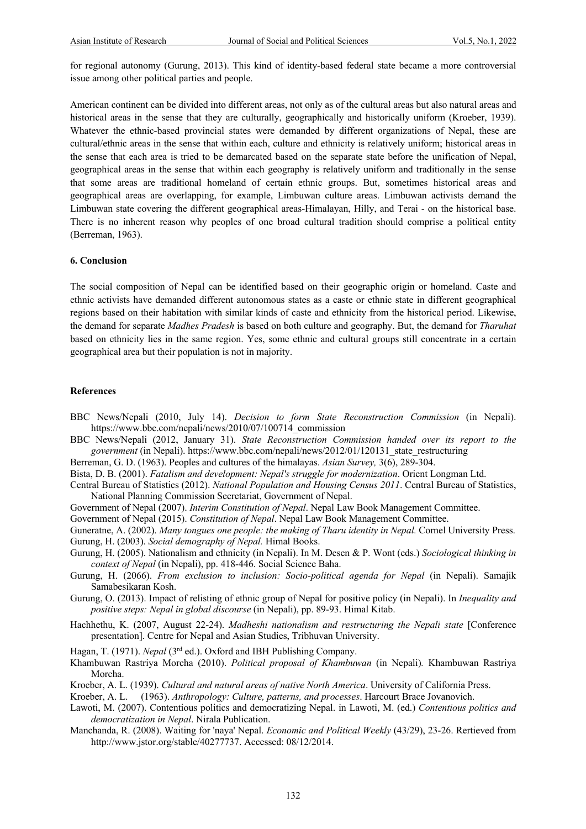for regional autonomy (Gurung, 2013). This kind of identity-based federal state became a more controversial issue among other political parties and people.

American continent can be divided into different areas, not only as of the cultural areas but also natural areas and historical areas in the sense that they are culturally, geographically and historically uniform (Kroeber, 1939). Whatever the ethnic-based provincial states were demanded by different organizations of Nepal, these are cultural/ethnic areas in the sense that within each, culture and ethnicity is relatively uniform; historical areas in the sense that each area is tried to be demarcated based on the separate state before the unification of Nepal, geographical areas in the sense that within each geography is relatively uniform and traditionally in the sense that some areas are traditional homeland of certain ethnic groups. But, sometimes historical areas and geographical areas are overlapping, for example, Limbuwan culture areas. Limbuwan activists demand the Limbuwan state covering the different geographical areas-Himalayan, Hilly, and Terai - on the historical base. There is no inherent reason why peoples of one broad cultural tradition should comprise a political entity (Berreman, 1963).

#### **6. Conclusion**

The social composition of Nepal can be identified based on their geographic origin or homeland. Caste and ethnic activists have demanded different autonomous states as a caste or ethnic state in different geographical regions based on their habitation with similar kinds of caste and ethnicity from the historical period. Likewise, the demand for separate *Madhes Pradesh* is based on both culture and geography. But, the demand for *Tharuhat* based on ethnicity lies in the same region. Yes, some ethnic and cultural groups still concentrate in a certain geographical area but their population is not in majority.

#### **References**

- BBC News/Nepali (2010, July 14). *Decision to form State Reconstruction Commission* (in Nepali). https://www.bbc.com/nepali/news/2010/07/100714\_commission
- BBC News/Nepali (2012, January 31). *State Reconstruction Commission handed over its report to the government* (in Nepali). https://www.bbc.com/nepali/news/2012/01/120131\_state\_restructuring

Berreman, G. D. (1963). Peoples and cultures of the himalayas. *Asian Survey,* 3(6), 289-304.

Bista, D. B. (2001). *Fatalism and development: Nepal's struggle for modernization*. Orient Longman Ltd.

Central Bureau of Statistics (2012). *National Population and Housing Census 2011*. Central Bureau of Statistics, National Planning Commission Secretariat, Government of Nepal.

Government of Nepal (2007). *Interim Constitution of Nepal*. Nepal Law Book Management Committee.

Government of Nepal (2015). *Constitution of Nepal*. Nepal Law Book Management Committee.

Guneratne, A. (2002). *Many tongues one people: the making of Tharu identity in Nepal.* Cornel University Press. Gurung, H. (2003). *Social demography of Nepal.* Himal Books.

Gurung, H. (2005). Nationalism and ethnicity (in Nepali). In M. Desen & P. Wont (eds.) *Sociological thinking in context of Nepal* (in Nepali), pp. 418-446. Social Science Baha.

- Gurung, H. (2066). *From exclusion to inclusion: Socio-political agenda for Nepal* (in Nepali). Samajik Samabesikaran Kosh.
- Gurung, O. (2013). Impact of relisting of ethnic group of Nepal for positive policy (in Nepali). In *Inequality and positive steps: Nepal in global discourse* (in Nepali), pp. 89-93. Himal Kitab.
- Hachhethu, K. (2007, August 22-24). *Madheshi nationalism and restructuring the Nepali state* [Conference presentation]. Centre for Nepal and Asian Studies, Tribhuvan University.
- Hagan, T. (1971). *Nepal* (3<sup>rd</sup> ed.). Oxford and IBH Publishing Company.
- Khambuwan Rastriya Morcha (2010). *Political proposal of Khambuwan* (in Nepali)*.* Khambuwan Rastriya Morcha.
- Kroeber, A. L. (1939). *Cultural and natural areas of native North America*. University of California Press.

Kroeber, A. L. (1963). *Anthropology: Culture, patterns, and processes*. Harcourt Brace Jovanovich.

- Lawoti, M. (2007). Contentious politics and democratizing Nepal. in Lawoti, M. (ed.) *Contentious politics and democratization in Nepal*. Nirala Publication.
- Manchanda, R. (2008). Waiting for 'naya' Nepal. *Economic and Political Weekly* (43/29), 23-26. Rertieved from http://www.jstor.org/stable/40277737. Accessed: 08/12/2014.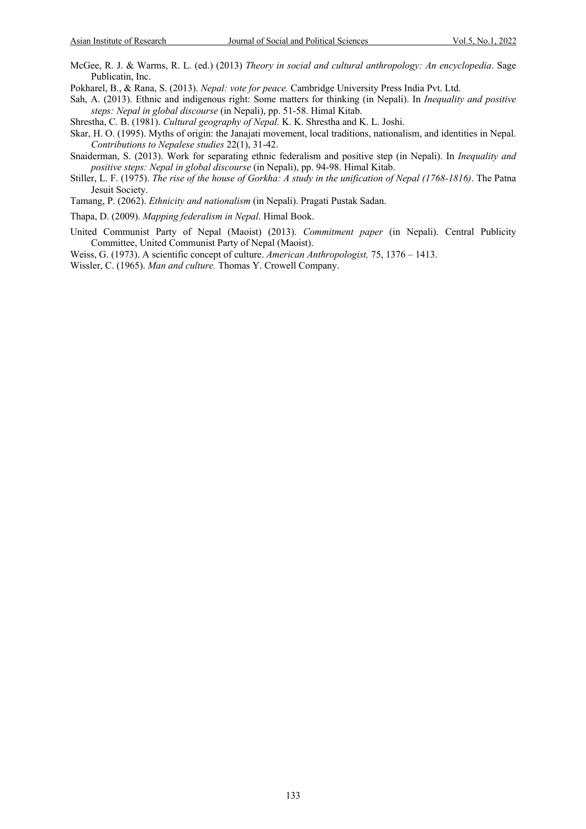McGee, R. J. & Warms, R. L. (ed.) (2013) *Theory in social and cultural anthropology: An encyclopedia*. Sage Publicatin, Inc.

Pokharel, B., & Rana, S. (2013). *Nepal: vote for peace.* Cambridge University Press India Pvt. Ltd.

Sah, A. (2013). Ethnic and indigenous right: Some matters for thinking (in Nepali). In *Inequality and positive steps: Nepal in global discourse* (in Nepali), pp. 51-58. Himal Kitab.

Shrestha, C. B. (1981). *Cultural geography of Nepal.* K. K. Shrestha and K. L. Joshi.

- Skar, H. O. (1995). Myths of origin: the Janajati movement, local traditions, nationalism, and identities in Nepal. *Contributions to Nepalese studies* 22(1), 31-42.
- Snaiderman, S. (2013). Work for separating ethnic federalism and positive step (in Nepali). In *Inequality and positive steps: Nepal in global discourse* (in Nepali), pp. 94-98. Himal Kitab.
- Stiller, L. F. (1975). *The rise of the house of Gorkha: A study in the unification of Nepal (1768-1816)*. The Patna Jesuit Society.
- Tamang, P. (2062). *Ethnicity and nationalism* (in Nepali). Pragati Pustak Sadan.
- Thapa, D. (2009). *Mapping federalism in Nepal*. Himal Book.
- United Communist Party of Nepal (Maoist) (2013). *Commitment paper* (in Nepali). Central Publicity Committee, United Communist Party of Nepal (Maoist).
- Weiss, G. (1973). A scientific concept of culture. *American Anthropologist,* 75, 1376 1413.
- Wissler, C. (1965). *Man and culture.* Thomas Y. Crowell Company.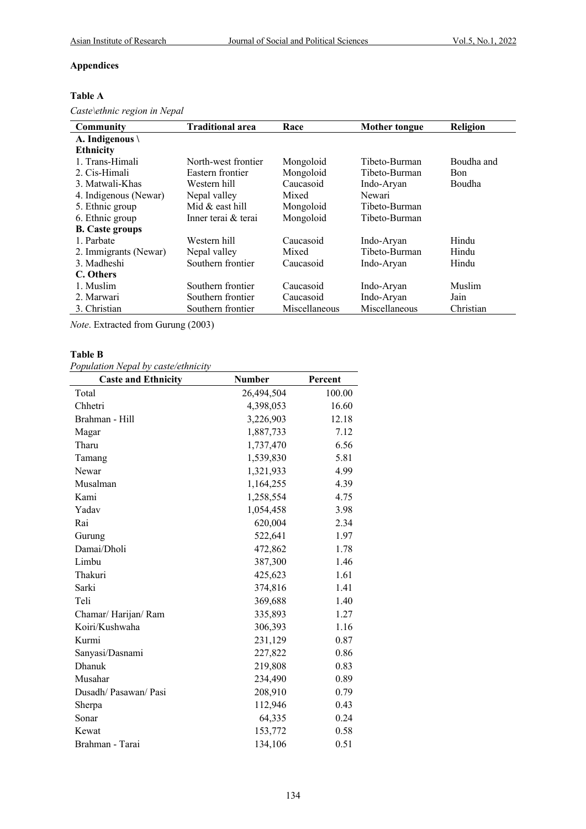## **Appendices**

#### **Table A**

*Caste\ethnic region in Nepal*

| Community                 | <b>Traditional area</b> | Race          |               | <b>Religion</b> |
|---------------------------|-------------------------|---------------|---------------|-----------------|
|                           |                         |               | Mother tongue |                 |
| A. Indigenous $\setminus$ |                         |               |               |                 |
| <b>Ethnicity</b>          |                         |               |               |                 |
| 1. Trans-Himali           | North-west frontier     | Mongoloid     | Tibeto-Burman | Boudha and      |
| 2. Cis-Himali             | Eastern frontier        | Mongoloid     | Tibeto-Burman | Bon             |
| 3. Matwali-Khas           | Western hill            | Caucasoid     | Indo-Aryan    | Boudha          |
| 4. Indigenous (Newar)     | Nepal valley            | Mixed         | Newari        |                 |
| 5. Ethnic group           | Mid & east hill         | Mongoloid     | Tibeto-Burman |                 |
| 6. Ethnic group           | Inner terai & terai     | Mongoloid     | Tibeto-Burman |                 |
| <b>B.</b> Caste groups    |                         |               |               |                 |
| 1. Parbate                | Western hill            | Caucasoid     | Indo-Aryan    | Hindu           |
| 2. Immigrants (Newar)     | Nepal valley            | Mixed         | Tibeto-Burman | Hindu           |
| 3. Madheshi               | Southern frontier       | Caucasoid     | Indo-Aryan    | Hindu           |
| C. Others                 |                         |               |               |                 |
| 1. Muslim                 | Southern frontier       | Caucasoid     | Indo-Aryan    | Muslim          |
| 2. Marwari                | Southern frontier       | Caucasoid     | Indo-Aryan    | Jain            |
| 3. Christian              | Southern frontier       | Miscellaneous | Miscellaneous | Christian       |

*Note*. Extracted from Gurung (2003)

#### **Table B**

*Population Nepal by caste/ethnicity*

| <b>Caste and Ethnicity</b> | Number     | Percent |
|----------------------------|------------|---------|
| Total                      | 26,494,504 | 100.00  |
| Chhetri                    | 4,398,053  | 16.60   |
| Brahman - Hill             | 3,226,903  | 12.18   |
| Magar                      | 1,887,733  | 7.12    |
| Tharu                      | 1,737,470  | 6.56    |
| Tamang                     | 1,539,830  | 5.81    |
| Newar                      | 1,321,933  | 4.99    |
| Musalman                   | 1,164,255  | 4.39    |
| Kami                       | 1,258,554  | 4.75    |
| Yadav                      | 1,054,458  | 3.98    |
| Rai                        | 620,004    | 2.34    |
| Gurung                     | 522,641    | 1.97    |
| Damai/Dholi                | 472,862    | 1.78    |
| Limbu                      | 387,300    | 1.46    |
| Thakuri                    | 425,623    | 1.61    |
| Sarki                      | 374,816    | 1.41    |
| Teli                       | 369,688    | 1.40    |
| Chamar/Harijan/Ram         | 335,893    | 1.27    |
| Koiri/Kushwaha             | 306,393    | 1.16    |
| Kurmi                      | 231,129    | 0.87    |
| Sanyasi/Dasnami            | 227,822    | 0.86    |
| Dhanuk                     | 219,808    | 0.83    |
| Musahar                    | 234,490    | 0.89    |
| Dusadh/Pasawan/Pasi        | 208,910    | 0.79    |
| Sherpa                     | 112,946    | 0.43    |
| Sonar                      | 64,335     | 0.24    |
| Kewat                      | 153,772    | 0.58    |
| Brahman - Tarai            | 134,106    | 0.51    |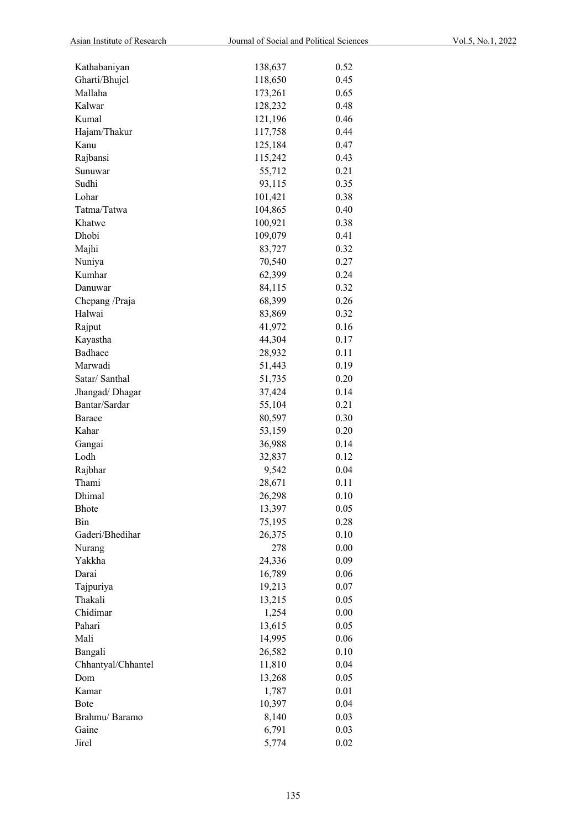| Kathabaniyan       | 138,637         | 0.52 |
|--------------------|-----------------|------|
| Gharti/Bhujel      | 118,650         | 0.45 |
| Mallaha            | 173,261         | 0.65 |
| Kalwar             | 128,232         | 0.48 |
| Kumal              | 121,196         | 0.46 |
| Hajam/Thakur       | 117,758         | 0.44 |
| Kanu               | 125,184         | 0.47 |
| Rajbansi           | 115,242         | 0.43 |
| Sunuwar            | 55,712          | 0.21 |
| Sudhi              | 93,115          | 0.35 |
| Lohar              | 101,421         | 0.38 |
| Tatma/Tatwa        | 104,865         | 0.40 |
| Khatwe             | 100,921         | 0.38 |
| Dhobi              | 109,079         | 0.41 |
| Majhi              | 83,727          | 0.32 |
| Nuniya             | 70,540          | 0.27 |
| Kumhar             | 62,399          | 0.24 |
| Danuwar            | 84,115          | 0.32 |
| Chepang /Praja     | 68,399          | 0.26 |
| Halwai             | 83,869          | 0.32 |
| Rajput             | 41,972          | 0.16 |
| Kayastha           | 44,304          | 0.17 |
| Badhaee            | 28,932          | 0.11 |
| Marwadi            | 51,443          | 0.19 |
| Satar/ Santhal     | 51,735          | 0.20 |
| Jhangad/Dhagar     | 37,424          | 0.14 |
| Bantar/Sardar      | 55,104          | 0.21 |
| Baraee             | 80,597          | 0.30 |
| Kahar              | 53,159          | 0.20 |
|                    | 36,988          | 0.14 |
| Gangai<br>Lodh     |                 | 0.12 |
| Rajbhar            | 32,837<br>9,542 | 0.04 |
| Thami              | 28,671          | 0.11 |
| Dhimal             |                 |      |
| <b>Bhote</b>       | 26,298          | 0.10 |
| Bin                | 13,397          | 0.05 |
| Gaderi/Bhedihar    | 75,195          | 0.28 |
|                    | 26,375          | 0.10 |
| Nurang             | 278             | 0.00 |
| Yakkha             | 24,336          | 0.09 |
| Darai              | 16,789          | 0.06 |
| Tajpuriya          | 19,213          | 0.07 |
| Thakali            | 13,215          | 0.05 |
| Chidimar           | 1,254           | 0.00 |
| Pahari             | 13,615          | 0.05 |
| Mali               | 14,995          | 0.06 |
| Bangali            | 26,582          | 0.10 |
| Chhantyal/Chhantel | 11,810          | 0.04 |
| Dom                | 13,268          | 0.05 |
| Kamar              | 1,787           | 0.01 |
| Bote               | 10,397          | 0.04 |
| Brahmu/Baramo      | 8,140           | 0.03 |
| Gaine              | 6,791           | 0.03 |
| Jirel              | 5,774           | 0.02 |